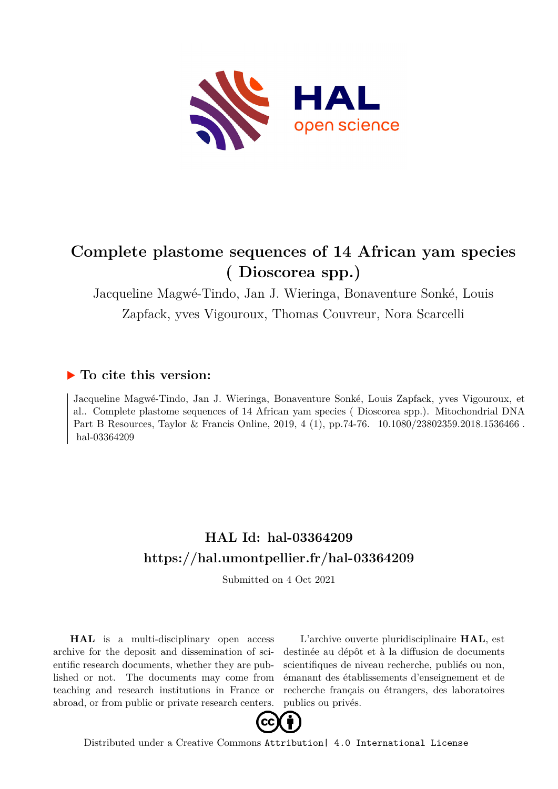

# **Complete plastome sequences of 14 African yam species ( Dioscorea spp.)**

Jacqueline Magwé-Tindo, Jan J. Wieringa, Bonaventure Sonké, Louis Zapfack, yves Vigouroux, Thomas Couvreur, Nora Scarcelli

# **To cite this version:**

Jacqueline Magwé-Tindo, Jan J. Wieringa, Bonaventure Sonké, Louis Zapfack, yves Vigouroux, et al.. Complete plastome sequences of 14 African yam species ( Dioscorea spp.). Mitochondrial DNA Part B Resources, Taylor & Francis Online, 2019, 4 (1), pp.74-76.  $10.1080/23802359.2018.1536466$ . hal-03364209

# **HAL Id: hal-03364209 <https://hal.umontpellier.fr/hal-03364209>**

Submitted on 4 Oct 2021

**HAL** is a multi-disciplinary open access archive for the deposit and dissemination of scientific research documents, whether they are published or not. The documents may come from teaching and research institutions in France or abroad, or from public or private research centers.

L'archive ouverte pluridisciplinaire **HAL**, est destinée au dépôt et à la diffusion de documents scientifiques de niveau recherche, publiés ou non, émanant des établissements d'enseignement et de recherche français ou étrangers, des laboratoires publics ou privés.



Distributed under a Creative Commons [Attribution| 4.0 International License](http://creativecommons.org/licenses/by/4.0/)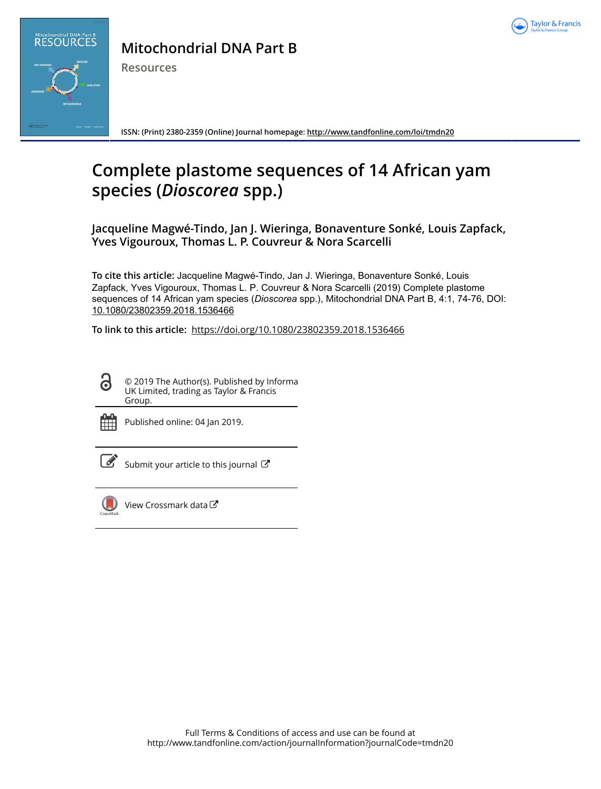



**Mitochondrial DNA Part B**

**Resources**

**ISSN: (Print) 2380-2359 (Online) Journal homepage:<http://www.tandfonline.com/loi/tmdn20>**

# **Complete plastome sequences of 14 African yam species (***Dioscorea* **spp.)**

**Jacqueline Magwé-Tindo, Jan J. Wieringa, Bonaventure Sonké, Louis Zapfack, Yves Vigouroux, Thomas L. P. Couvreur & Nora Scarcelli**

**To cite this article:** Jacqueline Magwé-Tindo, Jan J. Wieringa, Bonaventure Sonké, Louis Zapfack, Yves Vigouroux, Thomas L. P. Couvreur & Nora Scarcelli (2019) Complete plastome sequences of 14 African yam species (*Dioscorea* spp.), Mitochondrial DNA Part B, 4:1, 74-76, DOI: [10.1080/23802359.2018.1536466](http://www.tandfonline.com/action/showCitFormats?doi=10.1080/23802359.2018.1536466)

**To link to this article:** <https://doi.org/10.1080/23802359.2018.1536466>

© 2019 The Author(s). Published by Informa UK Limited, trading as Taylor & Francis Group.



ര

Published online: 04 Jan 2019.



 $\overrightarrow{S}$  [Submit your article to this journal](http://www.tandfonline.com/action/authorSubmission?journalCode=tmdn20&show=instructions)  $\overrightarrow{S}$ 



[View Crossmark data](http://crossmark.crossref.org/dialog/?doi=10.1080/23802359.2018.1536466&domain=pdf&date_stamp=2019-01-04)<sup>C</sup>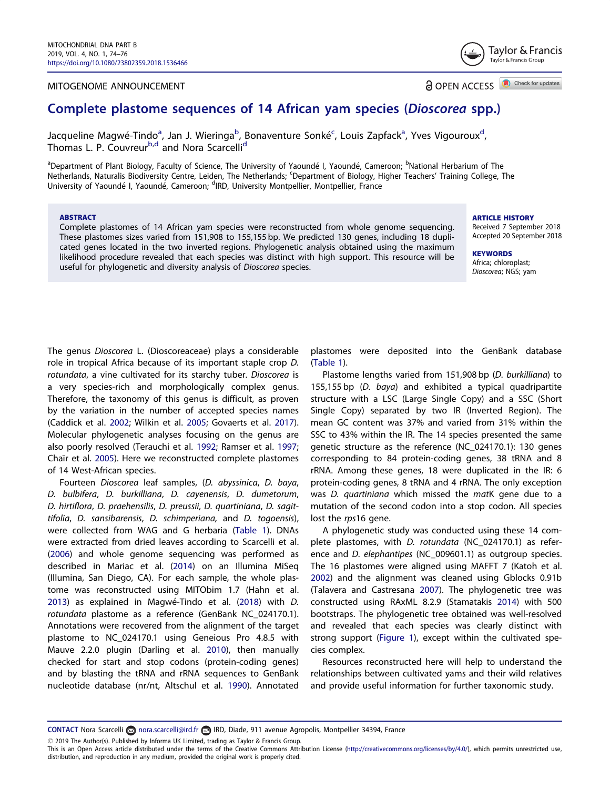### <span id="page-2-0"></span>MITOGENOME ANNOUNCEMENT

Check for updates **a** OPEN ACCESS

Taylor & Francis Taylor & Francis Group

# Complete plastome sequences of 14 African yam species (Dioscorea spp.)

Jacqueline Magwé-Tindo<sup>a</sup>, Jan J. Wieringa<sup>b</sup>, Bonaventure Sonké<sup>c</sup>, Louis Zapfack<sup>a</sup>, Yves Vigouroux<sup>d</sup>, Thomas L. P. Couvreur<sup>b,d</sup> and Nora Scarcelli<sup>d</sup>

<sup>a</sup>Department of Plant Biology, Faculty of Science, The University of Yaoundé I, Yaoundé, Cameroon; <sup>b</sup>National Herbarium of The Netherlands, Naturalis Biodiversity Centre, Leiden, The Netherlands; <sup>c</sup> Department of Biology, Higher Teachers' Training College, The University of Yaoundé I, Yaoundé, Cameroon; <sup>d</sup>IRD, University Montpellier, Montpellier, France

#### ABSTRACT

Complete plastomes of 14 African yam species were reconstructed from whole genome sequencing. These plastomes sizes varied from 151,908 to 155,155 bp. We predicted 130 genes, including 18 duplicated genes located in the two inverted regions. Phylogenetic analysis obtained using the maximum likelihood procedure revealed that each species was distinct with high support. This resource will be useful for phylogenetic and diversity analysis of Dioscorea species.

ARTICLE HISTORY

Received 7 September 2018 Accepted 20 September 2018

**KEYWORDS** Africa; chloroplast; Dioscorea; NGS; yam

The genus Dioscorea L. (Dioscoreaceae) plays a considerable role in tropical Africa because of its important staple crop D. rotundata, a vine cultivated for its starchy tuber. Dioscorea is a very species-rich and morphologically complex genus. Therefore, the taxonomy of this genus is difficult, as proven by the variation in the number of accepted species names (Caddick et al. [2002;](#page-4-0) Wilkin et al. [2005](#page-4-0); Govaerts et al. [2017](#page-4-0)). Molecular phylogenetic analyses focusing on the genus are also poorly resolved (Terauchi et al. [1992;](#page-4-0) Ramser et al. [1997](#page-4-0); Chaïr et al. [2005\)](#page-4-0). Here we reconstructed complete plastomes of 14 West-African species.

Fourteen Dioscorea leaf samples, (D. abyssinica, D. baya, D. bulbifera, D. burkilliana, D. cayenensis, D. dumetorum, D. hirtiflora, D. praehensilis, D. preussii, D. quartiniana, D. sagittifolia, D. sansibarensis, D. schimperiana, and D. togoensis), were collected from WAG and G herbaria [\(Table 1\)](#page-3-0). DNAs were extracted from dried leaves according to Scarcelli et al. ([2006](#page-4-0)) and whole genome sequencing was performed as described in Mariac et al. ([2014](#page-4-0)) on an Illumina MiSeq (Illumina, San Diego, CA). For each sample, the whole plastome was reconstructed using MITObim 1.7 (Hahn et al. [2013](#page-4-0)) as explained in Magwé-Tindo et al. [\(2018\)](#page-4-0) with D. rotundata plastome as a reference (GenBank NC\_024170.1). Annotations were recovered from the alignment of the target plastome to NC\_024170.1 using Geneious Pro 4.8.5 with Mauve 2.2.0 plugin (Darling et al. [2010\)](#page-4-0), then manually checked for start and stop codons (protein-coding genes) and by blasting the tRNA and rRNA sequences to GenBank nucleotide database (nr/nt, Altschul et al. [1990](#page-4-0)). Annotated

plastomes were deposited into the GenBank database ([Table 1](#page-3-0)).

Plastome lengths varied from 151,908 bp (D. burkilliana) to 155,155 bp (D. baya) and exhibited a typical quadripartite structure with a LSC (Large Single Copy) and a SSC (Short Single Copy) separated by two IR (Inverted Region). The mean GC content was 37% and varied from 31% within the SSC to 43% within the IR. The 14 species presented the same genetic structure as the reference (NC\_024170.1): 130 genes corresponding to 84 protein-coding genes, 38 tRNA and 8 rRNA. Among these genes, 18 were duplicated in the IR: 6 protein-coding genes, 8 tRNA and 4 rRNA. The only exception was D. quartiniana which missed the matK gene due to a mutation of the second codon into a stop codon. All species lost the rps16 gene.

A phylogenetic study was conducted using these 14 complete plastomes, with D. rotundata (NC\_024170.1) as reference and D. elephantipes (NC\_009601.1) as outgroup species. The 16 plastomes were aligned using MAFFT 7 (Katoh et al. [2002](#page-4-0)) and the alignment was cleaned using Gblocks 0.91b (Talavera and Castresana [2007\)](#page-4-0). The phylogenetic tree was constructed using RAxML 8.2.9 (Stamatakis [2014\)](#page-4-0) with 500 bootstraps. The phylogenetic tree obtained was well-resolved and revealed that each species was clearly distinct with strong support ([Figure 1\)](#page-3-0), except within the cultivated species complex.

Resources reconstructed here will help to understand the relationships between cultivated yams and their wild relatives and provide useful information for further taxonomic study.

CONTACT Nora Scarcelli anna.scarcelli@ird.fr **IRD, Diade, 911 avenue Agropolis, Montpellier 34394, France** 

2019 The Author(s). Published by Informa UK Limited, trading as Taylor & Francis Group.

This is an Open Access article distributed under the terms of the Creative Commons Attribution License ([http://creativecommons.org/licenses/by/4.0/\)](http://creativecommons.org/licenses/by/4.0/), which permits unrestricted use, distribution, and reproduction in any medium, provided the original work is properly cited.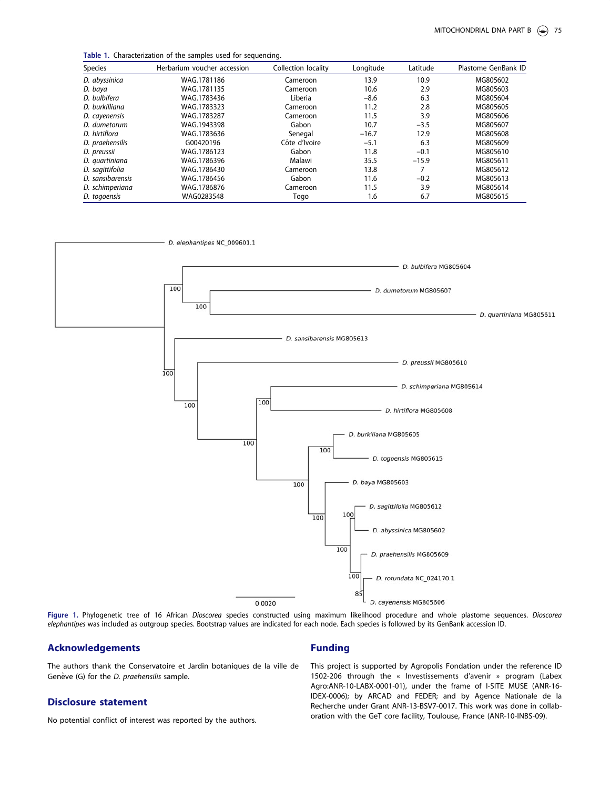<span id="page-3-0"></span>Table 1. Characterization of the samples used for sequencing.

| Species          | Herbarium voucher accession | Collection locality | Longitude | Latitude | Plastome GenBank ID |
|------------------|-----------------------------|---------------------|-----------|----------|---------------------|
| D. abyssinica    | WAG.1781186                 | Cameroon            | 13.9      | 10.9     | MG805602            |
| D. baya          | WAG.1781135                 | Cameroon            | 10.6      | 2.9      | MG805603            |
| D. bulbifera     | WAG.1783436                 | Liberia             | $-8.6$    | 6.3      | MG805604            |
| D. burkilliana   | WAG.1783323                 | Cameroon            | 11.2      | 2.8      | MG805605            |
| D. cayenensis    | WAG.1783287                 | Cameroon            | 11.5      | 3.9      | MG805606            |
| D. dumetorum     | WAG.1943398                 | Gabon               | 10.7      | $-3.5$   | MG805607            |
| D. hirtiflora    | WAG.1783636                 | Senegal             | $-16.7$   | 12.9     | MG805608            |
| D. praehensilis  | G00420196                   | Côte d'Ivoire       | $-5.1$    | 6.3      | MG805609            |
| D. preussii      | WAG.1786123                 | Gabon               | 11.8      | $-0.1$   | MG805610            |
| D. quartiniana   | WAG.1786396                 | Malawi              | 35.5      | $-15.9$  | MG805611            |
| D. sagittifolia  | WAG.1786430                 | Cameroon            | 13.8      |          | MG805612            |
| D. sansibarensis | WAG.1786456                 | Gabon               | 11.6      | $-0.2$   | MG805613            |
| D. schimperiana  | WAG.1786876                 | Cameroon            | 11.5      | 3.9      | MG805614            |
| D. togoensis     | WAG0283548                  | Togo                | 1.6       | 6.7      | MG805615            |



Figure 1. Phylogenetic tree of 16 African Dioscorea species constructed using maximum likelihood procedure and whole plastome sequences. Dioscorea elephantipes was included as outgroup species. Bootstrap values are indicated for each node. Each species is followed by its GenBank accession ID.

## Acknowledgements

The authors thank the Conservatoire et Jardin botaniques de la ville de Genève (G) for the *D. praehensilis* sample.

## Disclosure statement

No potential conflict of interest was reported by the authors.

### Funding

This project is supported by Agropolis Fondation under the reference ID 1502-206 through the « Investissements d'avenir » program (Labex Agro:ANR-10-LABX-0001-01), under the frame of I-SITE MUSE (ANR-16- IDEX-0006); by ARCAD and FEDER; and by Agence Nationale de la Recherche under Grant ANR-13-BSV7-0017. This work was done in collaboration with the GeT core facility, Toulouse, France (ANR-10-INBS-09).